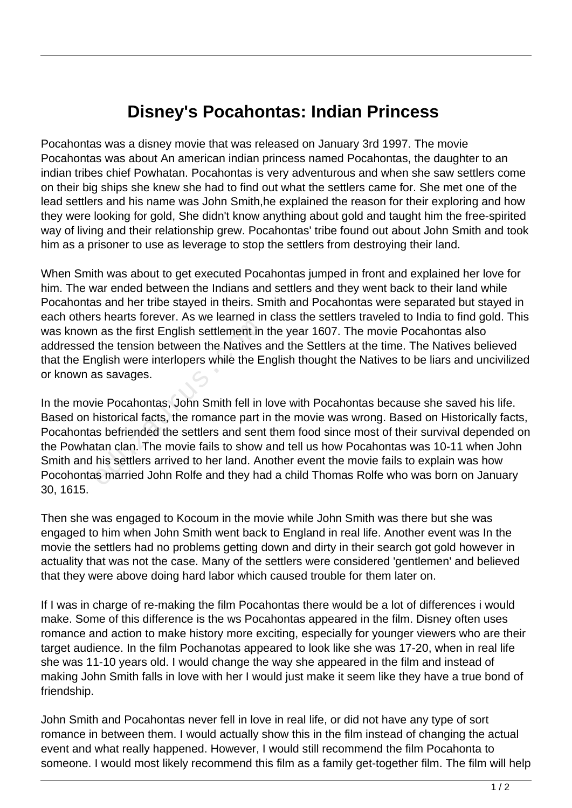## **Disney's Pocahontas: Indian Princess**

Pocahontas was a disney movie that was released on January 3rd 1997. The movie Pocahontas was about An american indian princess named Pocahontas, the daughter to an indian tribes chief Powhatan. Pocahontas is very adventurous and when she saw settlers come on their big ships she knew she had to find out what the settlers came for. She met one of the lead settlers and his name was John Smith,he explained the reason for their exploring and how they were looking for gold, She didn't know anything about gold and taught him the free-spirited way of living and their relationship grew. Pocahontas' tribe found out about John Smith and took him as a prisoner to use as leverage to stop the settlers from destroying their land.

When Smith was about to get executed Pocahontas jumped in front and explained her love for him. The war ended between the Indians and settlers and they went back to their land while Pocahontas and her tribe stayed in theirs. Smith and Pocahontas were separated but stayed in each others hearts forever. As we learned in class the settlers traveled to India to find gold. This was known as the first English settlement in the year 1607. The movie Pocahontas also addressed the tension between the Natives and the Settlers at the time. The Natives believed that the English were interlopers while the English thought the Natives to be liars and uncivilized or known as savages.

In the movie Pocahontas, John Smith fell in love with Pocahontas because she saved his life. Based on historical facts, the romance part in the movie was wrong. Based on Historically facts, Pocahontas befriended the settlers and sent them food since most of their survival depended on the Powhatan clan. The movie fails to show and tell us how Pocahontas was 10-11 when John Smith and his settlers arrived to her land. Another event the movie fails to explain was how Pocohontas married John Rolfe and they had a child Thomas Rolfe who was born on January 30, 1615. Frame first English settlement in<br>the tension between the Natives<br>in the tension between the Natives<br>in the Eas savages.<br>ie Pocahontas, John Smith fell in<br>historical facts, the romance part is<br>the between the settlers and

Then she was engaged to Kocoum in the movie while John Smith was there but she was engaged to him when John Smith went back to England in real life. Another event was In the movie the settlers had no problems getting down and dirty in their search got gold however in actuality that was not the case. Many of the settlers were considered 'gentlemen' and believed that they were above doing hard labor which caused trouble for them later on.

If I was in charge of re-making the film Pocahontas there would be a lot of differences i would make. Some of this difference is the ws Pocahontas appeared in the film. Disney often uses romance and action to make history more exciting, especially for younger viewers who are their target audience. In the film Pochanotas appeared to look like she was 17-20, when in real life she was 11-10 years old. I would change the way she appeared in the film and instead of making John Smith falls in love with her I would just make it seem like they have a true bond of friendship.

John Smith and Pocahontas never fell in love in real life, or did not have any type of sort romance in between them. I would actually show this in the film instead of changing the actual event and what really happened. However, I would still recommend the film Pocahonta to someone. I would most likely recommend this film as a family get-together film. The film will help